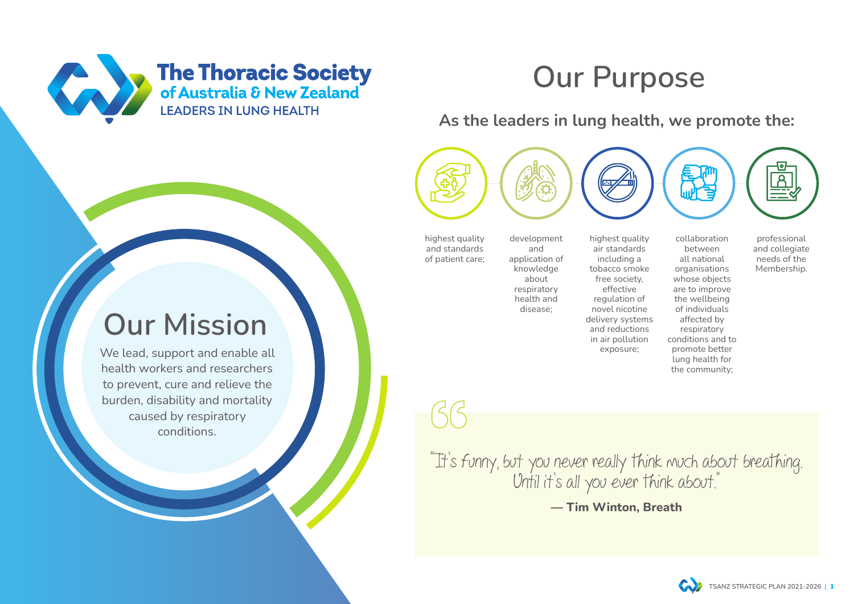We lead, support and enable all health workers and researchers to prevent, cure and relieve the burden, disability and mortality caused by respiratory conditions.

"It's funny, but you never really think much about breathing. Until it's all you ever think about." **― Tim Winton, Breath**





# **Our Purpose**

# **Our Mission**

**As the leaders in lung health, we promote the:**

highest quality and standards of patient care;

development and application of knowledge about respiratory health and disease;

collaboration between all national organisations whose objects are to improve the wellbeing of individuals affected by respiratory conditions and to promote better lung health for the community;

professional and collegiate needs of the Membership.

highest quality air standards including a tobacco smoke free society, effective regulation of novel nicotine delivery systems and reductions in air pollution exposure;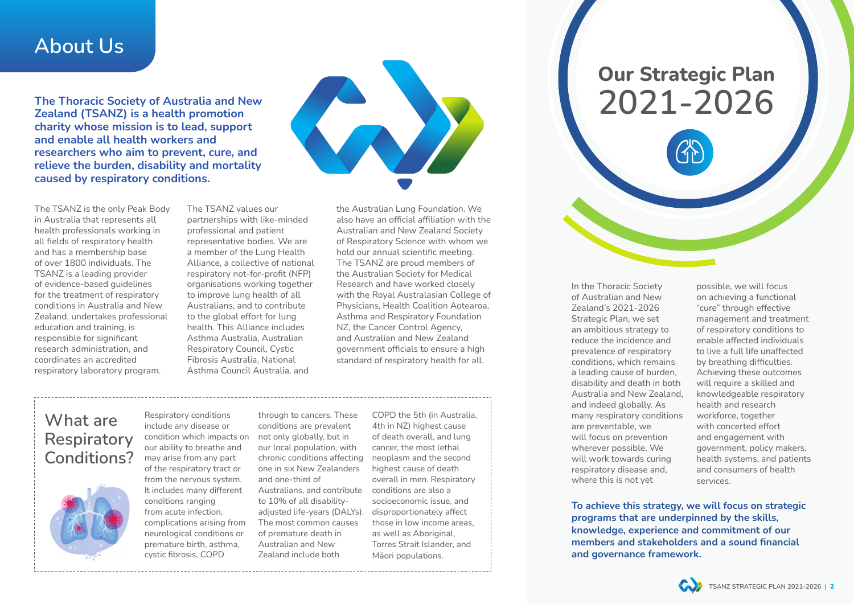**The Thoracic Society of Australia and New Zealand (TSANZ) is a health promotion charity whose mission is to lead, support and enable all health workers and researchers who aim to prevent, cure, and relieve the burden, disability and mortality caused by respiratory conditions.**



### **About Us**

#### **What are Respiratory Conditions?**



The TSANZ is the only Peak Body in Australia that represents all health professionals working in all fields of respiratory health and has a membership base of over 1800 individuals. The TSANZ is a leading provider of evidence-based guidelines for the treatment of respiratory conditions in Australia and New Zealand, undertakes professional education and training, is responsible for significant research administration, and coordinates an accredited respiratory laboratory program.

> Respiratory conditions include any disease or condition which impacts on our ability to breathe and may arise from any part of the respiratory tract or from the nervous system. It includes many different conditions ranging from acute infection, complications arising from neurological conditions or premature birth, asthma, cystic fibrosis, COPD

through to cancers. These conditions are prevalent not only globally, but in our local population, with chronic conditions affecting one in six New Zealanders and one-third of Australians, and contribute to 10% of all disabilityadjusted life-years (DALYs). The most common causes of premature death in Australian and New Zealand include both

COPD the 5th (in Australia, 4th in NZ) highest cause of death overall, and lung cancer, the most lethal neoplasm and the second highest cause of death overall in men. Respiratory conditions are also a socioeconomic issue, and disproportionately affect those in low income areas, as well as Aboriginal, Torres Strait Islander, and Māori populations.

In the Thoracic Society of Australian and New Zealand's 2021-2026 Strategic Plan, we set an ambitious strategy to reduce the incidence and prevalence of respiratory conditions, which remains a leading cause of burden, disability and death in both Australia and New Zealand, and indeed globally. As many respiratory conditions are preventable, we will focus on prevention wherever possible. We will work towards curing respiratory disease and, where this is not yet

possible, we will focus on achieving a functional "cure" through effective management and treatment of respiratory conditions to enable affected individuals to live a full life unaffected by breathing difficulties. Achieving these outcomes will require a skilled and knowledgeable respiratory health and research workforce, together with concerted effort and engagement with government, policy makers, health systems, and patients and consumers of health services.



**Our Strategic Plan 2021-2026**



The TSANZ values our partnerships with like-minded professional and patient representative bodies. We are a member of the Lung Health Alliance, a collective of national respiratory not-for-profit (NFP) organisations working together to improve lung health of all Australians, and to contribute to the global effort for lung health. This Alliance includes Asthma Australia, Australian Respiratory Council, Cystic Fibrosis Australia, National Asthma Council Australia, and

the Australian Lung Foundation. We also have an official affiliation with the Australian and New Zealand Society of Respiratory Science with whom we hold our annual scientific meeting. The TSANZ are proud members of the Australian Society for Medical Research and have worked closely with the Royal Australasian College of Physicians, Health Coalition Aotearoa, Asthma and Respiratory Foundation NZ, the Cancer Control Agency, and Australian and New Zealand government officials to ensure a high standard of respiratory health for all.

> **To achieve this strategy, we will focus on strategic programs that are underpinned by the skills, knowledge, experience and commitment of our members and stakeholders and a sound financial and governance framework.**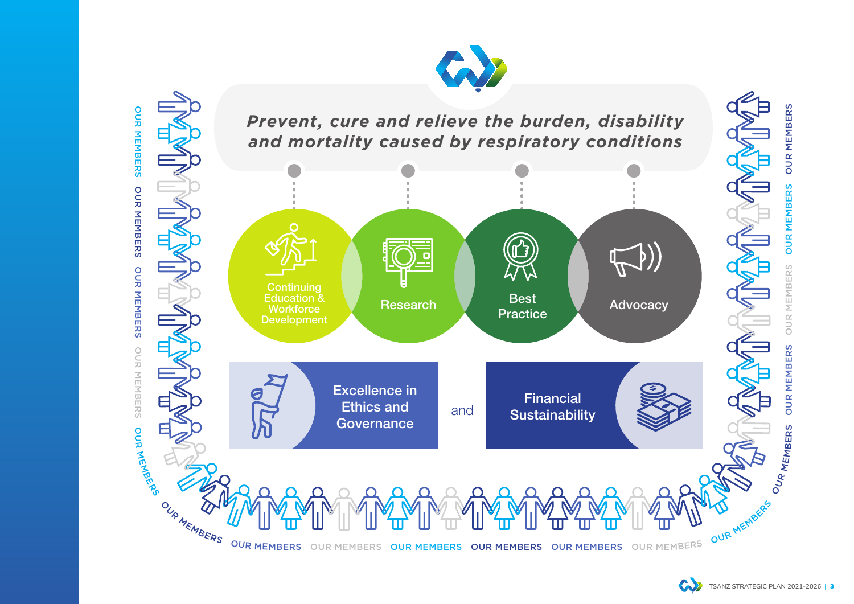**GN** 



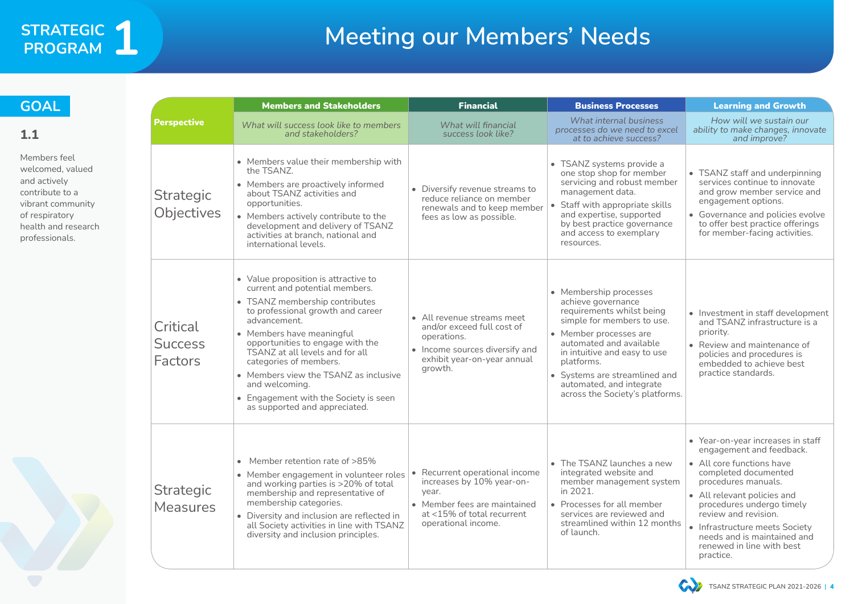# **Meeting our Members' Needs**

|                                              | <b>Members and Stakeholders</b>                                                                                                                                                                                                                                                                                                                                                                                                  | <b>Financial</b>                                                                                                                                                     | <b>Business Processes</b>                                                                                                                                                                                                                                                                                  | <b>Learning and Growth</b>                                                                                                                                                                                                                                                                                                               |
|----------------------------------------------|----------------------------------------------------------------------------------------------------------------------------------------------------------------------------------------------------------------------------------------------------------------------------------------------------------------------------------------------------------------------------------------------------------------------------------|----------------------------------------------------------------------------------------------------------------------------------------------------------------------|------------------------------------------------------------------------------------------------------------------------------------------------------------------------------------------------------------------------------------------------------------------------------------------------------------|------------------------------------------------------------------------------------------------------------------------------------------------------------------------------------------------------------------------------------------------------------------------------------------------------------------------------------------|
| <b>Perspective</b>                           | What will success look like to members<br>and stakeholders?                                                                                                                                                                                                                                                                                                                                                                      | What will financial<br>success look like?                                                                                                                            | What internal business<br>processes do we need to excel<br>at to achieve success?                                                                                                                                                                                                                          | How will we sustain our<br>ability to make changes, innovate<br>and improve?                                                                                                                                                                                                                                                             |
| <b>Strategic</b><br><b>Objectives</b>        | • Members value their membership with<br>the TSANZ.<br>• Members are proactively informed<br>about TSANZ activities and<br>opportunities.<br>• Members actively contribute to the<br>development and delivery of TSANZ<br>activities at branch, national and<br>international levels.                                                                                                                                            | • Diversify revenue streams to<br>reduce reliance on member<br>renewals and to keep member<br>fees as low as possible.                                               | • TSANZ systems provide a<br>one stop shop for member<br>servicing and robust member<br>management data.<br>• Staff with appropriate skills<br>and expertise, supported<br>by best practice governance<br>and access to exemplary<br>resources.                                                            | • TSANZ staff and underpinning<br>services continue to innovate<br>and grow member service and<br>engagement options.<br>• Governance and policies evolve<br>to offer best practice offerings<br>for member-facing activities.                                                                                                           |
| Critical<br><b>Success</b><br><b>Factors</b> | • Value proposition is attractive to<br>current and potential members.<br>• TSANZ membership contributes<br>to professional growth and career<br>advancement.<br>• Members have meaningful<br>opportunities to engage with the<br>TSANZ at all levels and for all<br>categories of members.<br>• Members view the TSANZ as inclusive<br>and welcoming.<br>• Engagement with the Society is seen<br>as supported and appreciated. | • All revenue streams meet<br>and/or exceed full cost of<br>operations.<br>• Income sources diversify and<br>exhibit year-on-year annual<br>growth.                  | • Membership processes<br>achieve governance<br>requirements whilst being<br>simple for members to use.<br>• Member processes are<br>automated and available<br>in intuitive and easy to use<br>platforms.<br>• Systems are streamlined and<br>automated, and integrate<br>across the Society's platforms. | • Investment in staff development<br>and TSANZ infrastructure is a<br>priority.<br>• Review and maintenance of<br>policies and procedures is<br>embedded to achieve best<br>practice standards.                                                                                                                                          |
| <b>Strategic</b><br><b>Measures</b>          | Member retention rate of >85%<br>$\bullet$<br>• Member engagement in volunteer roles<br>and working parties is >20% of total<br>membership and representative of<br>membership categories.<br>• Diversity and inclusion are reflected in<br>all Society activities in line with TSANZ<br>diversity and inclusion principles.                                                                                                     | Recurrent operational income<br>$\bullet$<br>increases by 10% year-on-<br>year.<br>• Member fees are maintained<br>at <15% of total recurrent<br>operational income. | • The TSANZ launches a new<br>integrated website and<br>member management system<br>in 2021.<br>• Processes for all member<br>services are reviewed and<br>streamlined within 12 months<br>of launch.                                                                                                      | • Year-on-year increases in staff<br>engagement and feedback.<br>• All core functions have<br>completed documented<br>procedures manuals.<br>• All relevant policies and<br>procedures undergo timely<br>review and revision.<br>• Infrastructure meets Society<br>needs and is maintained and<br>renewed in line with best<br>practice. |

![](_page_3_Picture_6.jpeg)

![](_page_3_Picture_7.jpeg)

### STRATEGIC 1 **Program 1**

#### **GOAL**

**1.1**

Members feel welcomed, valued and actively contribute to a vibrant community of respiratory health and research professionals.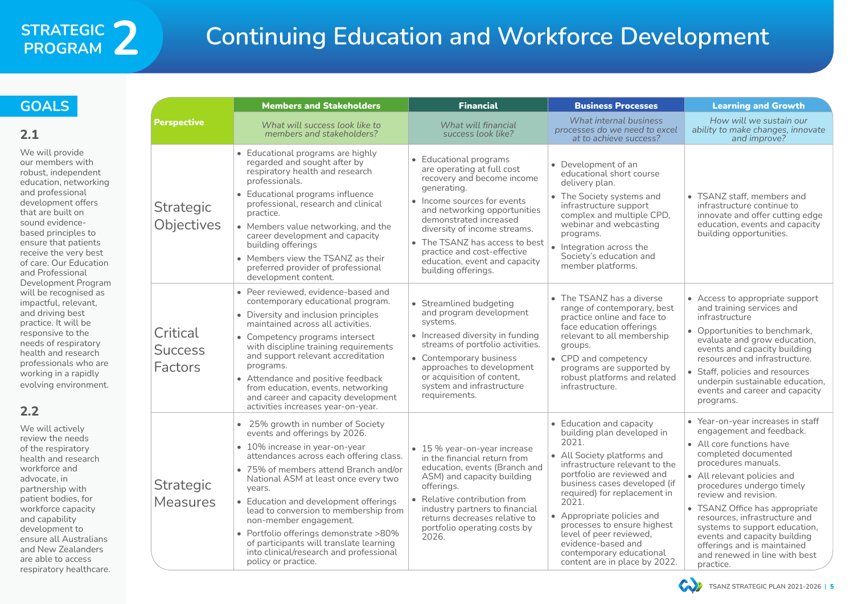# **Continuing Education and Workforce Development**

|                                              | <b>Members and Stakeholders</b>                                                                                                                                                                                                                                                                                                                                                                                                                                                                               | <b>Financial</b>                                                                                                                                                                                                                                                                                                                                    | <b>Business Processes</b>                                                                                                                                                                                                                                                                                                                                                                                          | <b>Learning and Growth</b>                                                                                                                                                                                                                                                                                                                                                                                                                                |
|----------------------------------------------|---------------------------------------------------------------------------------------------------------------------------------------------------------------------------------------------------------------------------------------------------------------------------------------------------------------------------------------------------------------------------------------------------------------------------------------------------------------------------------------------------------------|-----------------------------------------------------------------------------------------------------------------------------------------------------------------------------------------------------------------------------------------------------------------------------------------------------------------------------------------------------|--------------------------------------------------------------------------------------------------------------------------------------------------------------------------------------------------------------------------------------------------------------------------------------------------------------------------------------------------------------------------------------------------------------------|-----------------------------------------------------------------------------------------------------------------------------------------------------------------------------------------------------------------------------------------------------------------------------------------------------------------------------------------------------------------------------------------------------------------------------------------------------------|
| <b>Perspective</b>                           | What will success look like to<br>members and stakeholders?                                                                                                                                                                                                                                                                                                                                                                                                                                                   | What will financial<br>success look like?                                                                                                                                                                                                                                                                                                           | What internal business<br>processes do we need to excel<br>at to achieve success?                                                                                                                                                                                                                                                                                                                                  | How will we sustain our<br>ability to make changes, innovate<br>and improve?                                                                                                                                                                                                                                                                                                                                                                              |
| Strategic<br>Objectives                      | • Educational programs are highly<br>regarded and sought after by<br>respiratory health and research<br>professionals.<br>• Educational programs influence<br>professional, research and clinical<br>practice.<br>• Members value networking, and the<br>career development and capacity<br>building offerings<br>• Members view the TSANZ as their<br>preferred provider of professional<br>development content.                                                                                             | • Educational programs<br>are operating at full cost<br>recovery and become income<br>generating.<br>• Income sources for events<br>and networking opportunities<br>demonstrated increased<br>diversity of income streams.<br>• The TSANZ has access to best<br>practice and cost-effective<br>education, event and capacity<br>building offerings. | • Development of an<br>educational short course<br>delivery plan.<br>• The Society systems and<br>infrastructure support<br>complex and multiple CPD,<br>webinar and webcasting<br>programs.<br>• Integration across the<br>Society's education and<br>member platforms.                                                                                                                                           | • TSANZ staff, members and<br>infrastructure continue to<br>innovate and offer cutting edge<br>education, events and capacity<br>building opportunities.                                                                                                                                                                                                                                                                                                  |
| Critical<br><b>Success</b><br><b>Factors</b> | • Peer reviewed, evidence-based and<br>contemporary educational program.<br>• Diversity and inclusion principles<br>maintained across all activities.<br>• Competency programs intersect<br>with discipline training requirements<br>and support relevant accreditation<br>programs.<br>• Attendance and positive feedback<br>from education, events, networking<br>and career and capacity development<br>activities increases year-on-year.                                                                 | • Streamlined budgeting<br>and program development<br>systems.<br>• Increased diversity in funding<br>streams of portfolio activities.<br>• Contemporary business<br>approaches to development<br>or acquisition of content,<br>system and infrastructure<br>requirements.                                                                          | • The TSANZ has a diverse<br>range of contemporary, best<br>practice online and face to<br>face education offerings<br>relevant to all membership<br>groups.<br>• CPD and competency<br>programs are supported by<br>robust platforms and related<br>infrastructure.                                                                                                                                               | • Access to appropriate support<br>and training services and<br>infrastructure<br>• Opportunities to benchmark,<br>evaluate and grow education,<br>events and capacity building<br>resources and infrastructure.<br>• Staff, policies and resources<br>underpin sustainable education,<br>events and career and capacity<br>programs.                                                                                                                     |
| <b>Strategic</b><br><b>Measures</b>          | • 25% growth in number of Society<br>events and offerings by 2026.<br>• 10% increase in year-on-year<br>attendances across each offering class.<br>• 75% of members attend Branch and/or<br>National ASM at least once every two<br>years.<br>• Education and development offerings<br>lead to conversion to membership from<br>non-member engagement.<br>• Portfolio offerings demonstrate >80%<br>of participants will translate learning<br>into clinical/research and professional<br>policy or practice. | $\bullet$ 15 % year-on-year increase<br>in the financial return from<br>education, events (Branch and<br>ASM) and capacity building<br>offerings.<br>Relative contribution from<br>industry partners to financial<br>returns decreases relative to<br>portfolio operating costs by<br>2026.                                                         | • Education and capacity<br>building plan developed in<br>2021.<br>• All Society platforms and<br>infrastructure relevant to the<br>portfolio are reviewed and<br>business cases developed (if<br>required) for replacement in<br>2021.<br>• Appropriate policies and<br>processes to ensure highest<br>level of peer reviewed,<br>evidence-based and<br>contemporary educational<br>content are in place by 2022. | • Year-on-year increases in staff<br>engagement and feedback.<br>• All core functions have<br>completed documented<br>procedures manuals.<br>• All relevant policies and<br>procedures undergo timely<br>review and revision.<br>TSANZ Office has appropriate<br>$\bullet$<br>resources, infrastructure and<br>systems to support education,<br>events and capacity building<br>offerings and is maintained<br>and renewed in line with best<br>practice. |

![](_page_4_Picture_8.jpeg)

We will actively review the needs of the respiratory health and research workforce and advocate, in partnership with patient bodies, for workforce capacity and capability development to ensure all Australians and New Zealanders are able to access respiratory healthcare.

### **STRATEGIC Program 2**

#### **GOALS**

#### **2.1**

We will provide our members with robust, independent education, networking and professional development offers that are built on sound evidencebased principles to ensure that patients receive the very best of care. Our Education and Professional Development Program will be recognised as impactful, relevant, and driving best practice. It will be responsive to the needs of respiratory health and research professionals who are working in a rapidly evolving environment.

#### **2.2**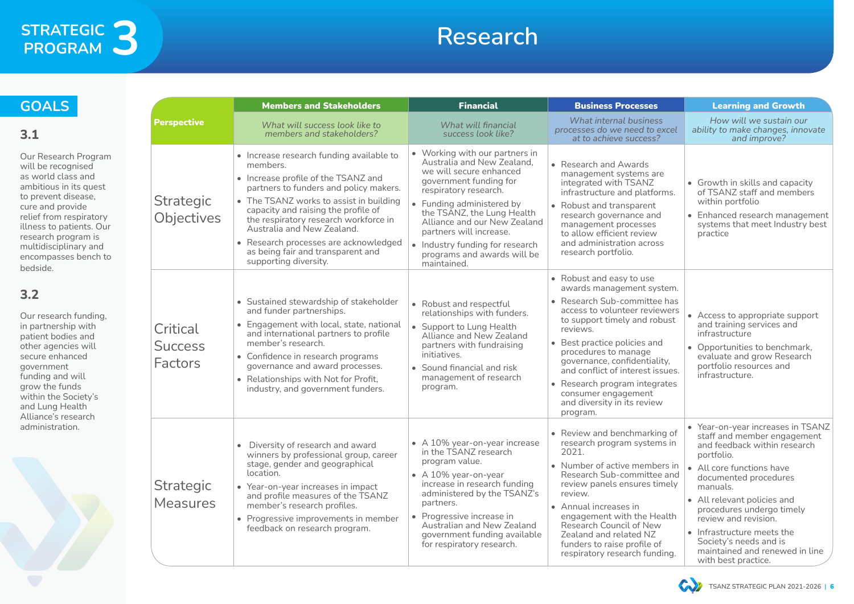## **Research**

|                                              | <b>Members and Stakeholders</b>                                                                                                                                                                                                                                                                                                                                                                       | <b>Financial</b>                                                                                                                                                                                                                                                                                                                                  | <b>Business Processes</b>                                                                                                                                                                                                                                                                                                                                                                         | <b>Learning and Growth</b>                                                                                                                                                                                                                                                                                                                                                            |
|----------------------------------------------|-------------------------------------------------------------------------------------------------------------------------------------------------------------------------------------------------------------------------------------------------------------------------------------------------------------------------------------------------------------------------------------------------------|---------------------------------------------------------------------------------------------------------------------------------------------------------------------------------------------------------------------------------------------------------------------------------------------------------------------------------------------------|---------------------------------------------------------------------------------------------------------------------------------------------------------------------------------------------------------------------------------------------------------------------------------------------------------------------------------------------------------------------------------------------------|---------------------------------------------------------------------------------------------------------------------------------------------------------------------------------------------------------------------------------------------------------------------------------------------------------------------------------------------------------------------------------------|
| <b>Perspective</b>                           | What will success look like to<br>members and stakeholders?                                                                                                                                                                                                                                                                                                                                           | What will financial<br>success look like?                                                                                                                                                                                                                                                                                                         | What internal business<br>processes do we need to excel<br>at to achieve success?                                                                                                                                                                                                                                                                                                                 | How will we sustain our<br>ability to make changes, innovate<br>and improve?                                                                                                                                                                                                                                                                                                          |
| <b>Strategic</b><br>Objectives               | • Increase research funding available to<br>members.<br>• Increase profile of the TSANZ and<br>partners to funders and policy makers.<br>• The TSANZ works to assist in building<br>capacity and raising the profile of<br>the respiratory research workforce in<br>Australia and New Zealand.<br>• Research processes are acknowledged<br>as being fair and transparent and<br>supporting diversity. | • Working with our partners in<br>Australia and New Zealand,<br>we will secure enhanced<br>government funding for<br>respiratory research.<br>• Funding administered by<br>the TSANZ, the Lung Health<br>Alliance and our New Zealand<br>partners will increase.<br>• Industry funding for research<br>programs and awards will be<br>maintained. | • Research and Awards<br>management systems are<br>integrated with TSANZ<br>infrastructure and platforms.<br>• Robust and transparent<br>research governance and<br>management processes<br>to allow efficient review<br>and administration across<br>research portfolio.                                                                                                                         | • Growth in skills and capacity<br>of TSANZ staff and members<br>within portfolio<br>• Enhanced research management<br>systems that meet Industry best<br>practice                                                                                                                                                                                                                    |
| Critical<br><b>Success</b><br><b>Factors</b> | • Sustained stewardship of stakeholder<br>and funder partnerships.<br>• Engagement with local, state, national<br>and international partners to profile<br>member's research.<br>• Confidence in research programs<br>governance and award processes.<br>• Relationships with Not for Profit,<br>industry, and government funders.                                                                    | • Robust and respectful<br>relationships with funders.<br>• Support to Lung Health<br><b>Alliance and New Zealand</b><br>partners with fundraising<br>initiatives.<br>• Sound financial and risk<br>management of research<br>program.                                                                                                            | • Robust and easy to use<br>awards management system.<br>• Research Sub-committee has<br>access to volunteer reviewers<br>to support timely and robust<br>reviews.<br>• Best practice policies and<br>procedures to manage<br>governance, confidentiality,<br>and conflict of interest issues.<br>• Research program integrates<br>consumer engagement<br>and diversity in its review<br>program. | • Access to appropriate support<br>and training services and<br>infrastructure<br>Opportunities to benchmark,<br>$\bullet$<br>evaluate and grow Research<br>portfolio resources and<br>infrastructure.                                                                                                                                                                                |
| <b>Strategic</b><br><b>Measures</b>          | Diversity of research and award<br>$\bullet$<br>winners by professional group, career<br>stage, gender and geographical<br>location.<br>• Year-on-year increases in impact<br>and profile measures of the TSANZ<br>member's research profiles.<br>• Progressive improvements in member<br>feedback on research program.                                                                               | • $\land$ 10% year-on-year increase<br>in the TSANZ research<br>program value.<br>• $\land$ 10% year-on-year<br>increase in research funding<br>administered by the TSANZ's<br>partners.<br>• Progressive increase in<br><b>Australian and New Zealand</b><br>government funding available<br>for respiratory research.                           | • Review and benchmarking of<br>research program systems in<br>2021.<br>• Number of active members in<br>Research Sub-committee and<br>review panels ensures timely<br>review.<br>• Annual increases in<br>engagement with the Health<br><b>Research Council of New</b><br>Zealand and related NZ<br>funders to raise profile of<br>respiratory research funding.                                 | • Year-on-year increases in TSANZ<br>staff and member engagement<br>and feedback within research<br>portfolio.<br>• All core functions have<br>documented procedures<br>manuals.<br>• All relevant policies and<br>procedures undergo timely<br>review and revision.<br>• Infrastructure meets the<br>Society's needs and is<br>maintained and renewed in line<br>with best practice. |

![](_page_5_Picture_9.jpeg)

#### **GOALS**

#### **3.1**

Our Research Program will be recognised as world class and ambitious in its quest to prevent disease, cure and provide relief from respiratory illness to patients. Our research program is multidisciplinary and encompasses bench to bedside.

#### **3.2**

Our research funding, in partnership with patient bodies and other agencies will secure enhanced government funding and will grow the funds within the Society's and Lung Health Alliance's research administration.

![](_page_5_Picture_7.jpeg)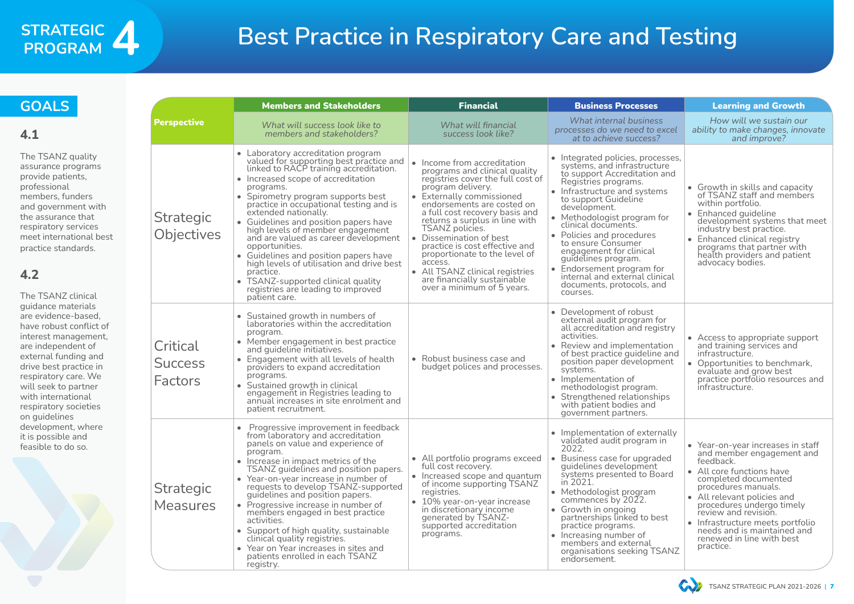# **Best Practice in Respiratory Care and Testing**

|                                       | <b>Members and Stakeholders</b>                                                                                                                                                                                                                                                                                                                                                                                                                                                                                                                                                                                            | <b>Financial</b>                                                                                                                                                                                                                                                                                                                                                                                                                                                                  | <b>Business Processes</b>                                                                                                                                                                                                                                                                                                                                                                                                                                           | <b>Learning and Growth</b>                                                                                                                                                                                                                                                                                                                               |
|---------------------------------------|----------------------------------------------------------------------------------------------------------------------------------------------------------------------------------------------------------------------------------------------------------------------------------------------------------------------------------------------------------------------------------------------------------------------------------------------------------------------------------------------------------------------------------------------------------------------------------------------------------------------------|-----------------------------------------------------------------------------------------------------------------------------------------------------------------------------------------------------------------------------------------------------------------------------------------------------------------------------------------------------------------------------------------------------------------------------------------------------------------------------------|---------------------------------------------------------------------------------------------------------------------------------------------------------------------------------------------------------------------------------------------------------------------------------------------------------------------------------------------------------------------------------------------------------------------------------------------------------------------|----------------------------------------------------------------------------------------------------------------------------------------------------------------------------------------------------------------------------------------------------------------------------------------------------------------------------------------------------------|
| <b>Perspective</b>                    | What will success look like to<br>members and stakeholders?                                                                                                                                                                                                                                                                                                                                                                                                                                                                                                                                                                | What will financial<br>success look like?                                                                                                                                                                                                                                                                                                                                                                                                                                         | What internal business<br>processes do we need to excel<br>at to achieve success?                                                                                                                                                                                                                                                                                                                                                                                   | How will we sustain our<br>ability to make changes, innovate<br>and improve?                                                                                                                                                                                                                                                                             |
| Strategic<br>Objectives               | • Laboratory accreditation program<br>valued for supporting best practice and<br>linked to RACP training accreditation.<br>• Increased scope of accreditation<br>programs.<br>• Spirometry program supports best<br>practice in occupational testing and is<br>extended nationally.<br>• Guidelines and position papers have<br>high levels of member engagement<br>and are valued as career development<br>opportunities.<br>• Guidelines and position papers have<br>high levels of utilisation and drive best<br>practice.<br>• TSANZ-supported clinical quality<br>registries are leading to improved<br>patient care. | • Income from accreditation<br>programs and clinical quality<br>registries cover the full cost of<br>program delivery.<br>• Externally commissioned<br>endorsements are costed on<br>a full cost recovery basis and<br>returns a surplus in line with<br>TSANZ policies.<br>• Dissemination of best<br>practice is cost effective and<br>proportionate to the level of<br>access.<br>• All TSANZ clinical registries<br>are financially sustainable<br>over a minimum of 5 years. | • Integrated policies, processes,<br>systems, and infrastructure<br>to support Accreditation and<br>Registries programs.<br>• Infrastructure and systems<br>to support Guideline<br>development.<br>• Methodologist program for<br>clinical documents.<br>• Policies and procedures<br>to ensure Consumer<br>engagement for clinical<br>guidelines program.<br>• Endorsement program for<br>internal and external clinical<br>documents, protocols, and<br>courses. | • Growth in skills and capacity<br>of TSANZ staff and members<br>within portfolio.<br>• Enhanced guideline<br>development systems that meet<br>industry best practice.<br>• Enhanced clinical registry<br>programs that partner with<br>health providers and patient<br>advocacy bodies.                                                                 |
| Critical<br><b>Success</b><br>Factors | • Sustained growth in numbers of<br>laboratories within the accreditation<br>program.<br>• Member engagement in best practice<br>and guideline initiatives.<br>• Engagement with all levels of health<br>providers to expand accreditation<br>programs.<br>Sustained growth in clinical<br>engagement in Registries leading to<br>annual increases in site enrolment and<br>patient recruitment.                                                                                                                                                                                                                           | • Robust business case and<br>budget polices and processes.                                                                                                                                                                                                                                                                                                                                                                                                                       | • Development of robust<br>external audit program for<br>all accreditation and registry<br>activities.<br>• Review and implementation<br>of best practice guideline and<br>position paper development<br>systems.<br>• Implementation of<br>methodologist program.<br>• Strengthened relationships<br>with patient bodies and<br>government partners.                                                                                                               | • Access to appropriate support<br>and training services and<br>infrastructure.<br>• Opportunities to benchmark,<br>evaluate and grow best<br>practice portfolio resources and<br>infrastructure.                                                                                                                                                        |
| <b>Strategic</b><br><b>Measures</b>   | Progressive improvement in feedback<br>from laboratory and accreditation<br>panels on value and experience of<br>program.<br>• Increase in impact metrics of the<br>TSANZ guidelines and position papers.<br>• Year-on-year increase in number of<br>requests to develop TSANZ-supported<br>guidelines and position papers.<br>• Progressive increase in number of<br>members engaged in best practice<br>activities.<br>• Support of high quality, sustainable<br>clinical quality registries.<br>• Year on Year increases in sites and<br>patients enrolled in each TSANZ<br>registry.                                   | • All portfolio programs exceed<br>full cost recovery.<br>• Increased scope and quantum<br>of income supporting TSANZ<br>registries.<br>• 10% year-on-year increase<br>in discretionary income<br>generated by TSANZ-<br>supported accreditation<br>programs.                                                                                                                                                                                                                     | • Implementation of externally<br>validated audit program in<br>2022.<br>• Business case for upgraded<br>guidelines development<br>systems presented to Board<br>in 2021.<br>• Methodologist program<br>commences by 2022.<br>• Growth in ongoing<br>partnerships linked to best<br>practice programs.<br>• Increasing number of<br>members and external<br>organisations seeking TSANZ<br>endorsement.                                                             | • Year-on-year increases in staff<br>and member engagement and<br>feedback.<br>• All core functions have<br>completed documented<br>procedures manuals.<br>• All relevant policies and<br>procedures undergo timely<br>review and revision.<br>• Infrastructure meets portfolio<br>needs and is maintained and<br>renewed in line with best<br>practice. |

![](_page_6_Picture_8.jpeg)

#### **GOALS**

#### **4.1**

The TSANZ quality assurance programs provide patients, professional members, funders and government with the assurance that respiratory services meet international best practice standards.

#### **4.2**

The TSANZ clinical guidance materials are evidence-based, have robust conflict of interest management, are independent of external funding and drive best practice in respiratory care. We will seek to partner with international respiratory societies on guidelines development, where it is possible and feasible to do so.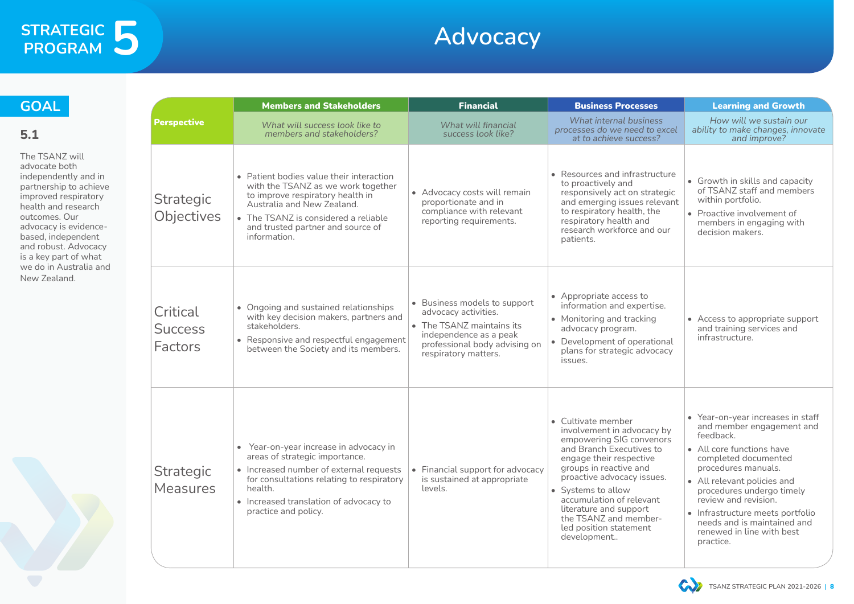## **Advocacy**

|                                              | <b>Members and Stakeholders</b>                                                                                                                                                                                                               | <b>Financial</b>                                                                                                                                                     | <b>Business Processes</b>                                                                                                                                                                                                                                                                                                                 | <b>Learning and Growth</b>                                                                                                                                                                                                                                                                                                                               |
|----------------------------------------------|-----------------------------------------------------------------------------------------------------------------------------------------------------------------------------------------------------------------------------------------------|----------------------------------------------------------------------------------------------------------------------------------------------------------------------|-------------------------------------------------------------------------------------------------------------------------------------------------------------------------------------------------------------------------------------------------------------------------------------------------------------------------------------------|----------------------------------------------------------------------------------------------------------------------------------------------------------------------------------------------------------------------------------------------------------------------------------------------------------------------------------------------------------|
| <b>Perspective</b>                           | What will success look like to<br>members and stakeholders?                                                                                                                                                                                   | What will financial<br>success look like?                                                                                                                            | What internal business<br>processes do we need to excel<br>at to achieve success?                                                                                                                                                                                                                                                         | How will we sustain our<br>ability to make changes, innovate<br>and improve?                                                                                                                                                                                                                                                                             |
| <b>Strategic</b><br>Objectives               | • Patient bodies value their interaction<br>with the TSANZ as we work together<br>to improve respiratory health in<br>Australia and New Zealand.<br>• The TSANZ is considered a reliable<br>and trusted partner and source of<br>information. | • Advocacy costs will remain<br>proportionate and in<br>compliance with relevant<br>reporting requirements.                                                          | • Resources and infrastructure<br>to proactively and<br>responsively act on strategic<br>and emerging issues relevant<br>to respiratory health, the<br>respiratory health and<br>research workforce and our<br>patients.                                                                                                                  | • Growth in skills and capacity<br>of TSANZ staff and members<br>within portfolio.<br>• Proactive involvement of<br>members in engaging with<br>decision makers.                                                                                                                                                                                         |
| Critical<br><b>Success</b><br><b>Factors</b> | • Ongoing and sustained relationships<br>with key decision makers, partners and<br>stakeholders.<br>• Responsive and respectful engagement<br>between the Society and its members.                                                            | • Business models to support<br>advocacy activities.<br>• The TSANZ maintains its<br>independence as a peak<br>professional body advising on<br>respiratory matters. | • Appropriate access to<br>information and expertise.<br>• Monitoring and tracking<br>advocacy program.<br>• Development of operational<br>plans for strategic advocacy<br>issues.                                                                                                                                                        | • Access to appropriate support<br>and training services and<br>infrastructure.                                                                                                                                                                                                                                                                          |
| <b>Strategic</b><br><b>Measures</b>          | • Year-on-year increase in advocacy in<br>areas of strategic importance.<br>• Increased number of external requests<br>for consultations relating to respiratory<br>health.<br>• Increased translation of advocacy to<br>practice and policy. | • Financial support for advocacy<br>is sustained at appropriate<br>levels.                                                                                           | • Cultivate member<br>involvement in advocacy by<br>empowering SIG convenors<br>and Branch Executives to<br>engage their respective<br>groups in reactive and<br>proactive advocacy issues.<br>• Systems to allow<br>accumulation of relevant<br>literature and support<br>the TSANZ and member-<br>led position statement<br>development | • Year-on-year increases in staff<br>and member engagement and<br>feedback.<br>• All core functions have<br>completed documented<br>procedures manuals.<br>• All relevant policies and<br>procedures undergo timely<br>review and revision.<br>• Infrastructure meets portfolio<br>needs and is maintained and<br>renewed in line with best<br>practice. |

![](_page_7_Picture_6.jpeg)

#### **GOAL**

#### **5.1**

The TSANZ will advocate both independently and in partnership to achieve improved respiratory health and research outcomes. Our advocacy is evidencebased, independent and robust. Advocacy is a key part of what we do in Australia and New Zealand.